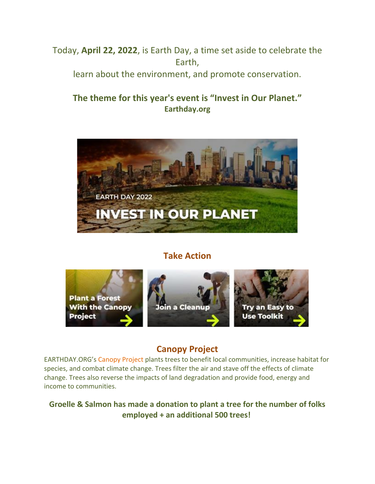Today, **April 22, 2022**, is Earth Day, a time set aside to celebrate the Earth,

learn about the environment, and promote conservation.

# **The theme for this year's event is "Invest in Our Planet." Earthday.org**



# **Take Action**



# **Canopy Project**

EARTHDAY.ORG's Canopy Project plants trees to benefit local communities, increase habitat for species, and combat climate change. Trees filter the air and stave off the effects of climate change. Trees also reverse the impacts of land degradation and provide food, energy and income to communities.

## **Groelle & Salmon has made a donation to plant a tree for the number of folks employed + an additional 500 trees!**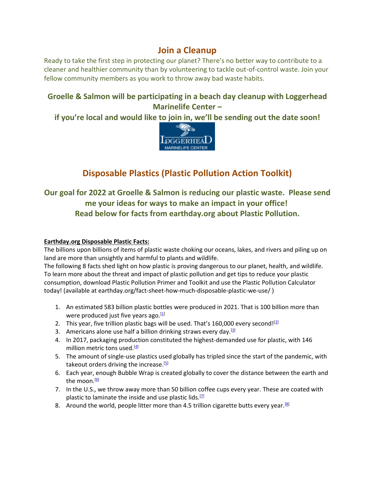## **Join a Cleanup**

Ready to take the first step in protecting our planet? There's no better way to contribute to a cleaner and healthier community than by volunteering to tackle out-of-control waste. Join your fellow community members as you work to throw away bad waste habits.

#### **Groelle & Salmon will be participating in a beach day cleanup with Loggerhead Marinelife Center –**

**if you're local and would like to join in, we'll be sending out the date soon!**



# **Disposable Plastics (Plastic Pollution Action Toolkit)**

## **Our goal for 2022 at Groelle & Salmon is reducing our plastic waste. Please send me your ideas for ways to make an impact in your office! Read below for facts from earthday.org about Plastic Pollution.**

#### **Earthday.org Disposable Plastic Facts:**

The billions upon billions of items of plastic waste choking our oceans, lakes, and rivers and piling up on land are more than unsightly and harmful to plants and wildlife.

The following 8 facts shed light on how plastic is proving dangerous to our planet, health, and wildlife. To learn more about the threat and impact of plastic pollution and get tips to reduce your plastic consumption, download Plastic Pollution Primer and Toolkit and use the Plastic Pollution Calculator today! (available at earthday.org/fact-sheet-how-much-disposable-plastic-we-use/ )

- 1. An estimated 583 billion plastic bottles were produced in 2021. That is 100 billion more than were produced just five years ago. $[1]$
- 2. This year, five trillion plastic bags will be used. That's 160,000 every second! $[2]$
- 3. Americans alone use half a billion drinking straws every day.  $[3]$
- 4. In 2017, packaging production constituted the highest-demanded use for plastic, with 146 million metric tons used.<sup>[\[4\]](https://www.statista.com/statistics/1134796/plastic-production-by-industrial-sector-worldwide/)</sup>
- 5. The amount of single-use plastics used globally has tripled since the start of the pandemic, with takeout orders driving the increase.<sup>[\[5\]](https://www.news4jax.com/news/local/2021/09/29/plastic-use-tripled-since-start-of-pandemic-takeout-waste-played-role/)</sup>
- 6. Each year, enough Bubble Wrap is created globally to cover the distance between the earth and the moon.<sup>[\[6\]](https://www.businesswaste.co.uk/bubble-wrap-recycling-and-disposal/)</sup>
- 7. In the U.S., we throw away more than 50 billion coffee cups every year. These are coated with plastic to laminate the inside and use plastic lids.<sup>[2]</sup>
- 8. Around the world, people litter more than 4.5 trillion cigarette butts every year.<sup>[\[8\]](https://medicine.uq.edu.au/article/2021/12/making-tobacco-industry-pay-cigarette-litter-could-stop-45-billion-butts-polluting-australian-environment)</sup>